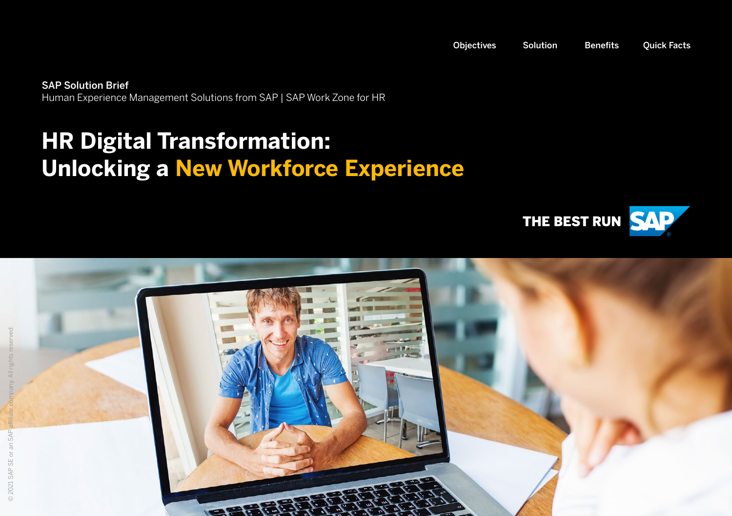<span id="page-0-0"></span>SAP Solution Brief Human Experience Management Solutions from SAP | SAP Work Zone for HR

## **HR Digital Transformation: Unlocking a New Workforce Experience**



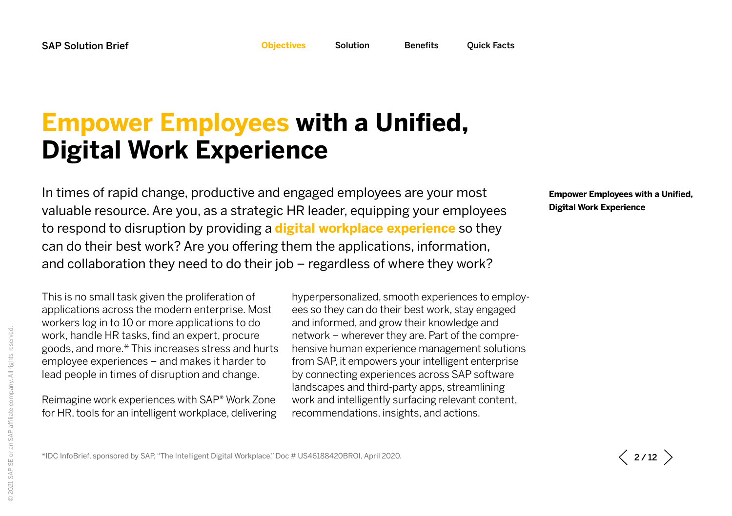<span id="page-1-0"></span>

### <span id="page-1-1"></span>**Empower Employees with a Unified, Digital Work Experience**

In times of rapid change, productive and engaged employees are your most valuable resource. Are you, as a strategic HR leader, equipping your employees to respond to disruption by providing a **digital workplace experience** so they can do their best work? Are you offering them the applications, information, and collaboration they need to do their job – regardless of where they work?

This is no small task given the proliferation of applications across the modern enterprise. Most workers log in to 10 or more applications to do work, handle HR tasks, find an expert, procure goods, and more.\* This increases stress and hurts employee experiences – and makes it harder to lead people in times of disruption and change.

Reimagine work experiences with SAP® Work Zone for HR, tools for an intelligent workplace, delivering hyperpersonalized, smooth experiences to employees so they can do their best work, stay engaged and informed, and grow their knowledge and network – wherever they are. Part of the comprehensive human experience management solutions from SAP, it empowers your intelligent enterprise by connecting experiences across SAP software landscapes and third-party apps, streamlining work and intelligently surfacing relevant content, recommendations, insights, and actions.

**[Empower Employees with a Unified,](#page-1-1)  [Digital Work Experience](#page-1-1)**

\*IDC InfoBrief, sponsored by SAP, "The Intelligent Digital Workplace," Doc # US46188420BROI, April 2020.

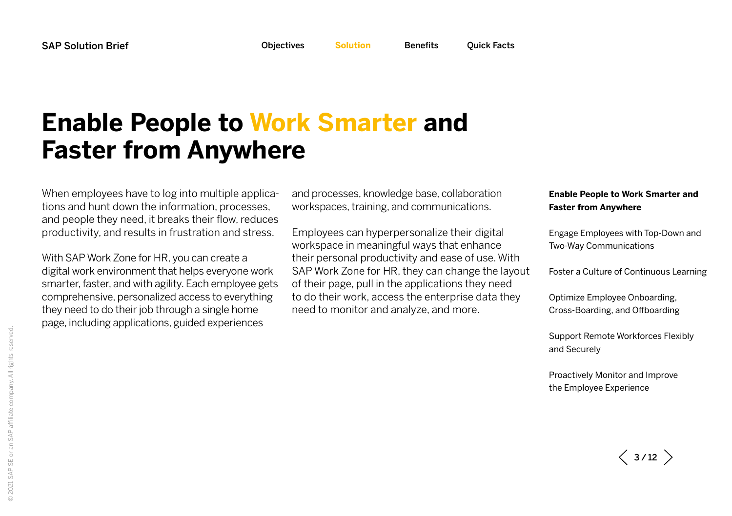<span id="page-2-0"></span>

### <span id="page-2-1"></span>**Enable People to Work Smarter and Faster from Anywhere**

When employees have to log into multiple applications and hunt down the information, processes, and people they need, it breaks their flow, reduces productivity, and results in frustration and stress.

With SAP Work Zone for HR, you can create a digital work environment that helps everyone work smarter, faster, and with agility. Each employee gets comprehensive, personalized access to everything they need to do their job through a single home page, including applications, guided experiences

and processes, knowledge base, collaboration workspaces, training, and communications.

Employees can hyperpersonalize their digital workspace in meaningful ways that enhance their personal productivity and ease of use. With SAP Work Zone for HR, they can change the layout of their page, pull in the applications they need to do their work, access the enterprise data they need to monitor and analyze, and more.

#### **[Enable People to Work Smarter and](#page-2-1)  [Faster from Anywhere](#page-2-1)**

[Engage Employees with Top-Down and](#page-4-0)  [Two-Way Communications](#page-4-0)

[Foster a Culture of Continuous Learning](#page-6-0)

[Optimize Employee Onboarding,](#page-7-0)  [Cross-Boarding, and Offboarding](#page-7-0)

[Support Remote Workforces Flexibly](#page-8-0)  [and Securely](#page-8-0)

 $\langle$  3/12  $\rangle$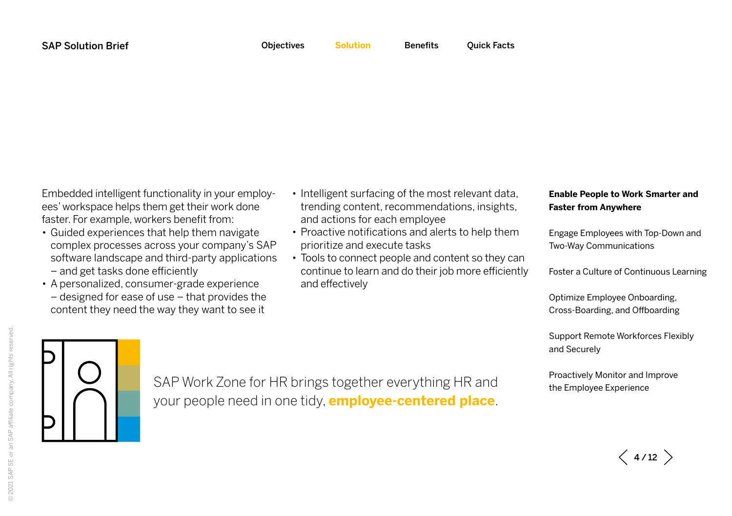Embedded intelligent functionality in your employees' workspace helps them get their work done faster. For example, workers benefit from:

- Guided experiences that help them navigate complex processes across your company's SAP software landscape and third-party applications – and get tasks done efficiently
- A personalized, consumer-grade experience – designed for ease of use – that provides the content they need the way they want to see it
- Intelligent surfacing of the most relevant data, trending content, recommendations, insights, and actions for each employee
- Proactive notifications and alerts to help them prioritize and execute tasks
- Tools to connect people and content so they can continue to learn and do their job more efficiently and effectively

#### **[Enable People to Work Smarter and](#page-2-1)  [Faster from Anywhere](#page-2-1)**

[Engage Employees with Top-Down and](#page-4-0)  [Two-Way Communications](#page-4-0)

[Foster a Culture of Continuous Learning](#page-6-0)

[Optimize Employee Onboarding,](#page-7-0)  [Cross-Boarding, and Offboarding](#page-7-0)

[Support Remote Workforces Flexibly](#page-8-0)  [and Securely](#page-8-0)

[Proactively Monitor and Improve](#page-9-0)  [the Employee Experience](#page-9-0)

SAP Work Zone for HR brings together everything HR and your people need in one tidy, **employee-centered place**.

 $\langle$  4/12  $\rangle$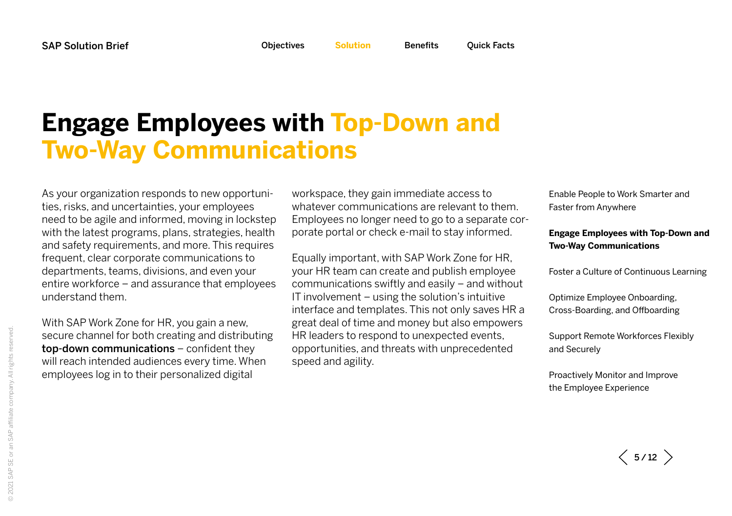### <span id="page-4-0"></span>**Engage Employees with Top-Down and Two-Way Communications**

As your organization responds to new opportunities, risks, and uncertainties, your employees need to be agile and informed, moving in lockstep with the latest programs, plans, strategies, health and safety requirements, and more. This requires frequent, clear corporate communications to departments, teams, divisions, and even your entire workforce – and assurance that employees understand them.

With SAP Work Zone for HR, you gain a new, secure channel for both creating and distributing top-down communications – confident they will reach intended audiences every time. When employees log in to their personalized digital

workspace, they gain immediate access to whatever communications are relevant to them. Employees no longer need to go to a separate corporate portal or check e-mail to stay informed.

Equally important, with SAP Work Zone for HR, your HR team can create and publish employee communications swiftly and easily – and without IT involvement – using the solution's intuitive interface and templates. This not only saves HR a great deal of time and money but also empowers HR leaders to respond to unexpected events, opportunities, and threats with unprecedented speed and agility.

[Enable People to Work Smarter and](#page-2-1)  [Faster from Anywhere](#page-2-1)

#### **[Engage Employees with Top-Down and](#page-4-0)  [Two-Way Communications](#page-4-0)**

[Foster a Culture of Continuous Learning](#page-6-0)

[Optimize Employee Onboarding,](#page-7-0)  [Cross-Boarding, and Offboarding](#page-7-0)

[Support Remote Workforces Flexibly](#page-8-0)  [and Securely](#page-8-0)

 $\langle$  5/12  $\rangle$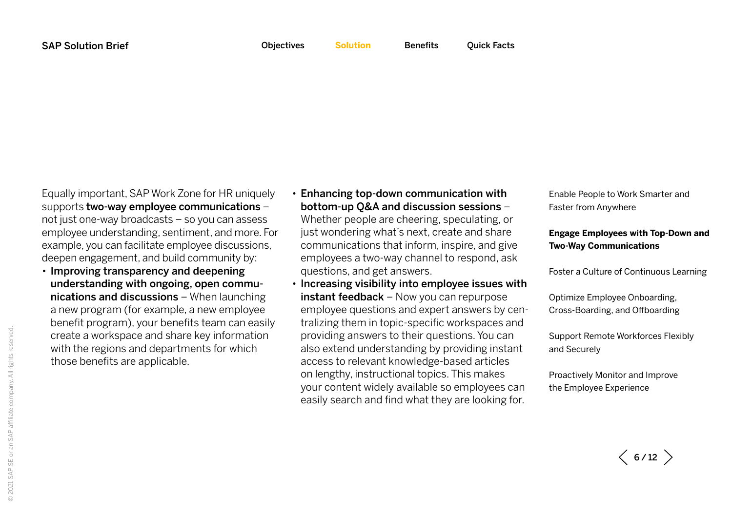Equally important, SAP Work Zone for HR uniquely supports two-way employee communications – not just one-way broadcasts – so you can assess employee understanding, sentiment, and more. For example, you can facilitate employee discussions, deepen engagement, and build community by:

• Improving transparency and deepening understanding with ongoing, open communications and discussions – When launching a new program (for example, a new employee benefit program), your benefits team can easily create a workspace and share key information with the regions and departments for which those benefits are applicable.

• Enhancing top-down communication with bottom-up Q&A and discussion sessions – Whether people are cheering, speculating, or just wondering what's next, create and share communications that inform, inspire, and give employees a two-way channel to respond, ask questions, and get answers.

• Increasing visibility into employee issues with instant feedback - Now you can repurpose employee questions and expert answers by centralizing them in topic-specific workspaces and providing answers to their questions. You can also extend understanding by providing instant access to relevant knowledge-based articles on lengthy, instructional topics. This makes your content widely available so employees can easily search and find what they are looking for.

[Enable People to Work Smarter and](#page-2-1)  [Faster from Anywhere](#page-2-1)

#### **[Engage Employees with Top-Down and](#page-4-0)  [Two-Way Communications](#page-4-0)**

[Foster a Culture of Continuous Learning](#page-6-0)

[Optimize Employee Onboarding,](#page-7-0)  [Cross-Boarding, and Offboarding](#page-7-0)

[Support Remote Workforces Flexibly](#page-8-0)  [and Securely](#page-8-0)

 $\langle$  6/12  $\rangle$ 

© 2021 SAP SE or an SAP affiliate company. All rights reserved.@ 2021 SAP SE or an SAP affiliate company. All rights reserved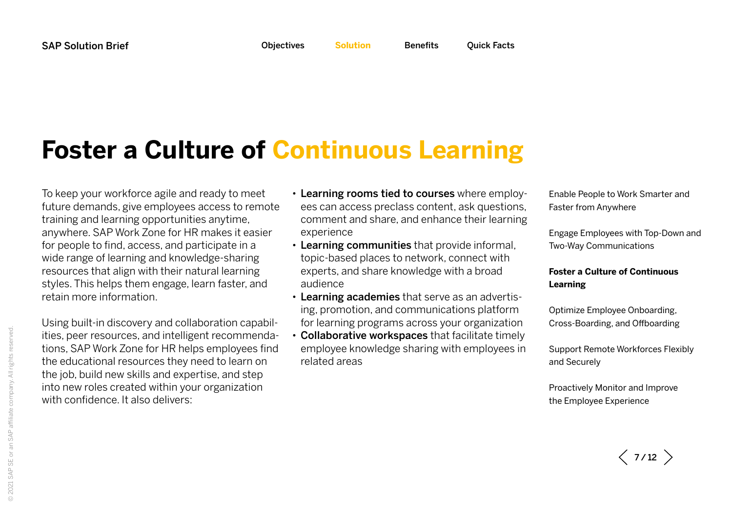## <span id="page-6-0"></span>**Foster a Culture of Continuous Learning**

To keep your workforce agile and ready to meet future demands, give employees access to remote training and learning opportunities anytime, anywhere. SAP Work Zone for HR makes it easier for people to find, access, and participate in a wide range of learning and knowledge-sharing resources that align with their natural learning styles. This helps them engage, learn faster, and retain more information.

Using built-in discovery and collaboration capabilities, peer resources, and intelligent recommendations, SAP Work Zone for HR helps employees find the educational resources they need to learn on the job, build new skills and expertise, and step into new roles created within your organization with confidence. It also delivers:

- Learning rooms tied to courses where employees can access preclass content, ask questions, comment and share, and enhance their learning experience
- Learning communities that provide informal, topic-based places to network, connect with experts, and share knowledge with a broad audience
- Learning academies that serve as an advertising, promotion, and communications platform for learning programs across your organization
- Collaborative workspaces that facilitate timely employee knowledge sharing with employees in related areas

[Enable People to Work Smarter and](#page-2-1)  [Faster from Anywhere](#page-2-1)

[Engage Employees with Top-Down and](#page-4-0)  [Two-Way Communications](#page-4-0)

#### **[Foster a Culture of Continuous](#page-6-0)  [Learning](#page-6-0)**

[Optimize Employee Onboarding,](#page-7-0)  [Cross-Boarding, and Offboarding](#page-7-0)

[Support Remote Workforces Flexibly](#page-8-0)  [and Securely](#page-8-0)

 $\langle$  7/12  $\rangle$ 

© 2021 SAP SE or an SAP affiliate company. All rights reserved.@ 2021 SAP SE or an SAP affiliate company. All rights reserved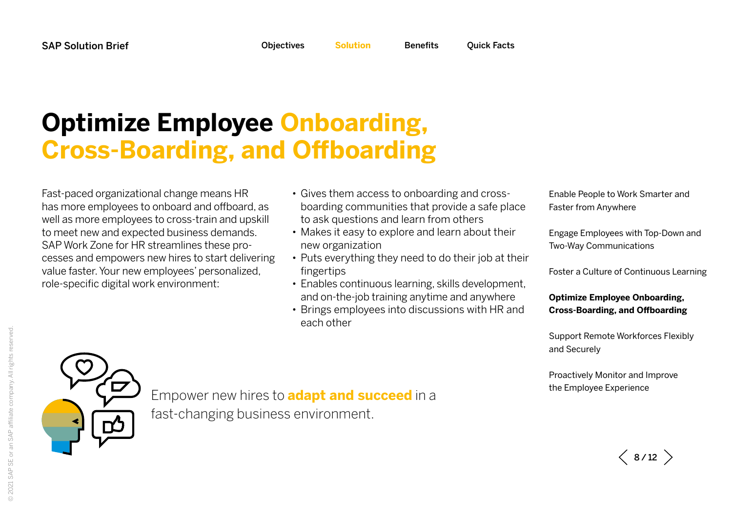## <span id="page-7-0"></span>**Optimize Employee Onboarding, Cross-Boarding, and Offboarding**

Fast-paced organizational change means HR has more employees to onboard and offboard, as well as more employees to cross-train and upskill to meet new and expected business demands. SAP Work Zone for HR streamlines these processes and empowers new hires to start delivering value faster. Your new employees' personalized, role-specific digital work environment:

- Gives them access to onboarding and crossboarding communities that provide a safe place to ask questions and learn from others
- Makes it easy to explore and learn about their new organization
- Puts everything they need to do their job at their fingertips
- Enables continuous learning, skills development, and on-the-job training anytime and anywhere
- Brings employees into discussions with HR and each other

[Enable People to Work Smarter and](#page-2-1)  [Faster from Anywhere](#page-2-1)

[Engage Employees with Top-Down and](#page-4-0)  [Two-Way Communications](#page-4-0)

[Foster a Culture of Continuous Learning](#page-6-0)

### **[Optimize Employee Onboarding,](#page-7-0)  [Cross-Boarding, and Offboarding](#page-7-0)**

[Support Remote Workforces Flexibly](#page-8-0)  [and Securely](#page-8-0)

[Proactively Monitor and Improve](#page-9-0)  [the Employee Experience](#page-9-0)



Empower new hires to **adapt and succeed** in a fast-changing business environment.

 $\langle 8/12 \rangle$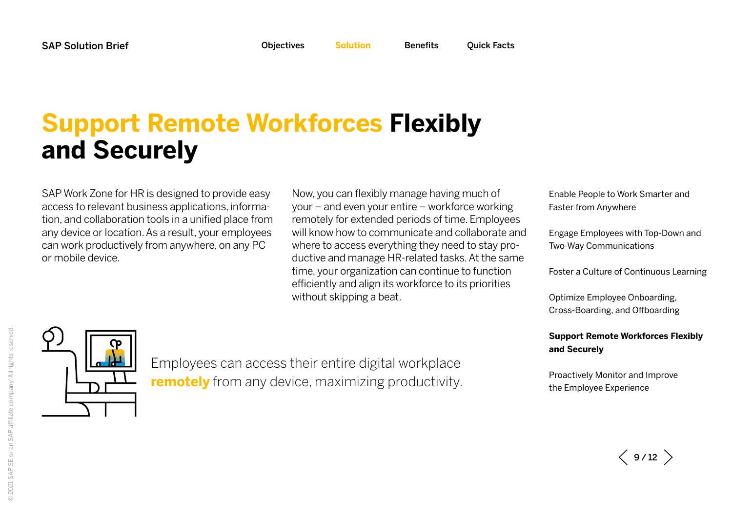# <span id="page-8-0"></span>**Support Remote Workforces Flexibly and Securely**

SAP Work Zone for HR is designed to provide easy access to relevant business applications, information, and collaboration tools in a unified place from any device or location. As a result, your employees can work productively from anywhere, on any PC or mobile device.

Now, you can flexibly manage having much of your – and even your entire – workforce working remotely for extended periods of time. Employees will know how to communicate and collaborate and where to access everything they need to stay productive and manage HR-related tasks. At the same time, your organization can continue to function efficiently and align its workforce to its priorities without skipping a beat.

[Enable People to Work Smarter and](#page-2-1)  [Faster from Anywhere](#page-2-1)

[Engage Employees with Top-Down and](#page-4-0)  [Two-Way Communications](#page-4-0)

[Foster a Culture of Continuous Learning](#page-6-0)

[Optimize Employee Onboarding,](#page-7-0)  [Cross-Boarding, and Offboarding](#page-7-0)

#### **[Support Remote Workforces Flexibly](#page-8-0)  [and Securely](#page-8-0)**

[Proactively Monitor and Improve](#page-9-0)  [the Employee Experience](#page-9-0)

Employees can access their entire digital workplace **remotely** from any device, maximizing productivity.

 $\langle$  9/12  $\rangle$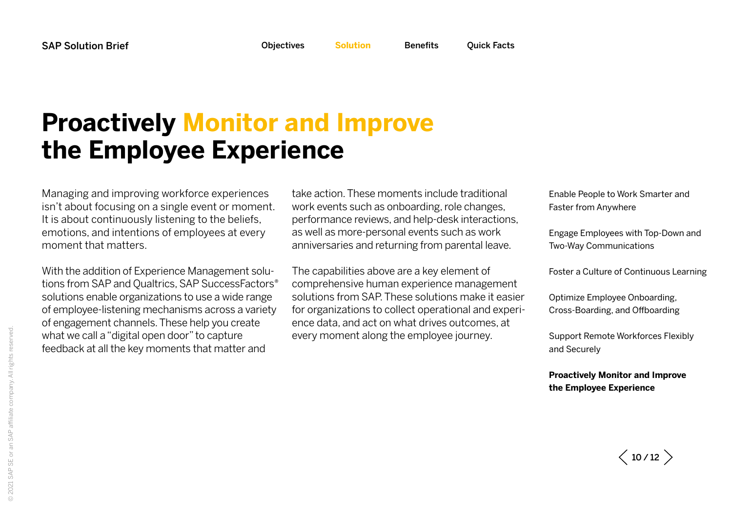## <span id="page-9-0"></span>**Proactively Monitor and Improve the Employee Experience**

Managing and improving workforce experiences isn't about focusing on a single event or moment. It is about continuously listening to the beliefs, emotions, and intentions of employees at every moment that matters.

With the addition of Experience Management solutions from SAP and Qualtrics, SAP SuccessFactors® solutions enable organizations to use a wide range of employee-listening mechanisms across a variety of engagement channels. These help you create what we call a "digital open door" to capture feedback at all the key moments that matter and

take action. These moments include traditional work events such as onboarding, role changes, performance reviews, and help-desk interactions, as well as more-personal events such as work anniversaries and returning from parental leave.

The capabilities above are a key element of comprehensive human experience management solutions from SAP. These solutions make it easier for organizations to collect operational and experience data, and act on what drives outcomes, at every moment along the employee journey.

[Enable People to Work Smarter and](#page-2-1)  [Faster from Anywhere](#page-2-1)

[Engage Employees with Top-Down and](#page-4-0)  [Two-Way Communications](#page-4-0)

[Foster a Culture of Continuous Learning](#page-6-0)

[Optimize Employee Onboarding,](#page-7-0)  [Cross-Boarding, and Offboarding](#page-7-0)

[Support Remote Workforces Flexibly](#page-8-0)  [and Securely](#page-8-0)

**[Proactively Monitor and Improve](#page-9-0)  [the Employee Experience](#page-9-0)**

 $\langle$  10/12  $\rangle$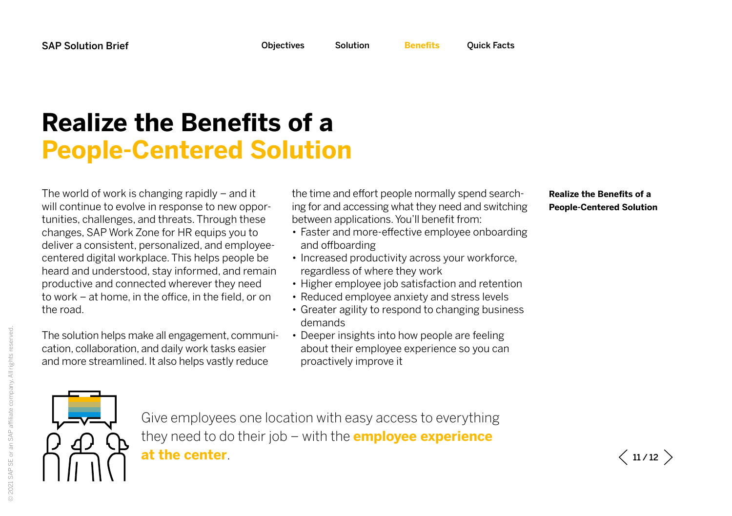## <span id="page-10-1"></span>**Realize the Benefits of a People-Centered Solution**

The world of work is changing rapidly – and it will continue to evolve in response to new opportunities, challenges, and threats. Through these changes, SAP Work Zone for HR equips you to deliver a consistent, personalized, and employeecentered digital workplace. This helps people be heard and understood, stay informed, and remain productive and connected wherever they need to work – at home, in the office, in the field, or on the road.

The solution helps make all engagement, communication, collaboration, and daily work tasks easier and more streamlined. It also helps vastly reduce

the time and effort people normally spend searching for and accessing what they need and switching between applications. You'll benefit from:

- Faster and more-effective employee onboarding and offboarding
- Increased productivity across your workforce, regardless of where they work
- Higher employee job satisfaction and retention
- Reduced employee anxiety and stress levels
- Greater agility to respond to changing business demands
- Deeper insights into how people are feeling about their employee experience so you can proactively improve it

#### **[Realize the Benefits of a](#page-10-1)  [People-Centered Solution](#page-10-1)**



Give employees one location with easy access to everything they need to do their job – with the **employee experience at the center**.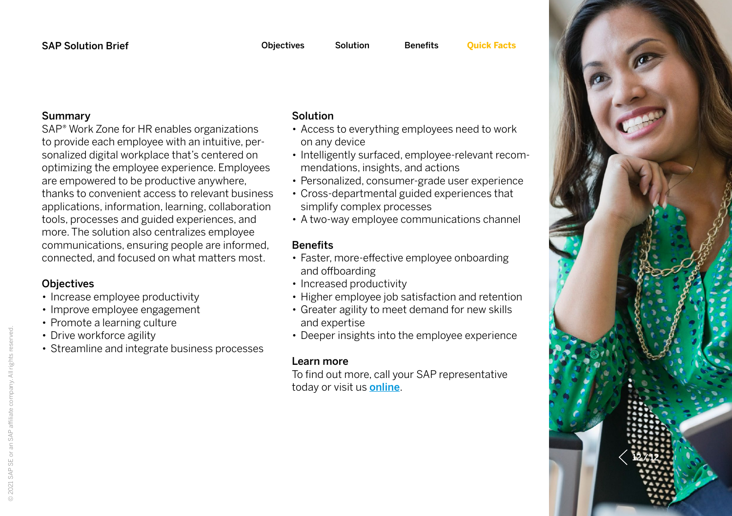#### Summary

SAP® Work Zone for HR enables organizations to provide each employee with an intuitive, personalized digital workplace that's centered on optimizing the employee experience. Employees are empowered to be productive anywhere, thanks to convenient access to relevant business applications, information, learning, collaboration tools, processes and guided experiences, and more. The solution also centralizes employee communications, ensuring people are informed, connected, and focused on what matters most.

### **Objectives**

- Increase employee productivity
- Improve employee engagement
- Promote a learning culture
- Drive workforce agility
- Streamline and integrate business processes

### Solution

- Access to everything employees need to work on any device
- Intelligently surfaced, employee-relevant recommendations, insights, and actions
- Personalized, consumer-grade user experience
- Cross-departmental guided experiences that simplify complex processes
- A two-way employee communications channel

### **Benefits**

- Faster, more-effective employee onboarding and offboarding
- Increased productivity
- Higher employee job satisfaction and retention
- Greater agility to meet demand for new skills and expertise
- Deeper insights into the employee experience

### Learn more

To find out more, call your SAP representative today or visit us **[online](https://www.sap.com/products/human-resources-hcm.html)**.

<span id="page-11-0"></span>